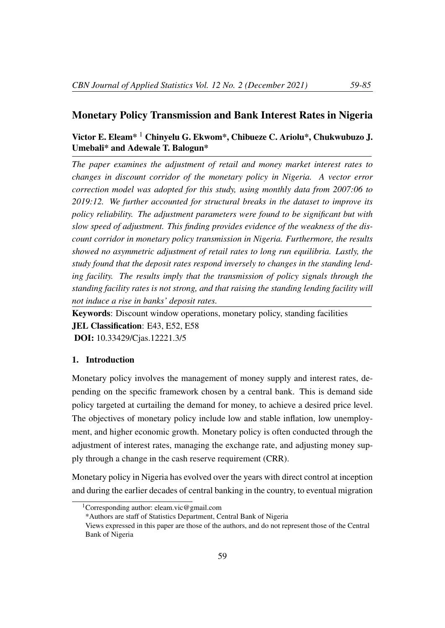## Monetary Policy Transmission and Bank Interest Rates in Nigeria

# Victor E. Eleam\* <sup>1</sup> Chinyelu G. Ekwom\*, Chibueze C. Ariolu\*, Chukwubuzo J. Umebali\* and Adewale T. Balogun\*

*The paper examines the adjustment of retail and money market interest rates to changes in discount corridor of the monetary policy in Nigeria. A vector error correction model was adopted for this study, using monthly data from 2007:06 to 2019:12. We further accounted for structural breaks in the dataset to improve its policy reliability. The adjustment parameters were found to be significant but with slow speed of adjustment. This finding provides evidence of the weakness of the discount corridor in monetary policy transmission in Nigeria. Furthermore, the results showed no asymmetric adjustment of retail rates to long run equilibria. Lastly, the study found that the deposit rates respond inversely to changes in the standing lending facility. The results imply that the transmission of policy signals through the standing facility rates is not strong, and that raising the standing lending facility will not induce a rise in banks' deposit rates.*

Keywords: Discount window operations, monetary policy, standing facilities JEL Classification: E43, E52, E58 DOI: 10.33429/Cjas.12221.3/5

## 1. Introduction

Monetary policy involves the management of money supply and interest rates, depending on the specific framework chosen by a central bank. This is demand side policy targeted at curtailing the demand for money, to achieve a desired price level. The objectives of monetary policy include low and stable inflation, low unemployment, and higher economic growth. Monetary policy is often conducted through the adjustment of interest rates, managing the exchange rate, and adjusting money supply through a change in the cash reserve requirement (CRR).

Monetary policy in Nigeria has evolved over the years with direct control at inception and during the earlier decades of central banking in the country, to eventual migration

<sup>&</sup>lt;sup>1</sup>Corresponding author: eleam.vic@gmail.com

<sup>\*</sup>Authors are staff of Statistics Department, Central Bank of Nigeria

Views expressed in this paper are those of the authors, and do not represent those of the Central Bank of Nigeria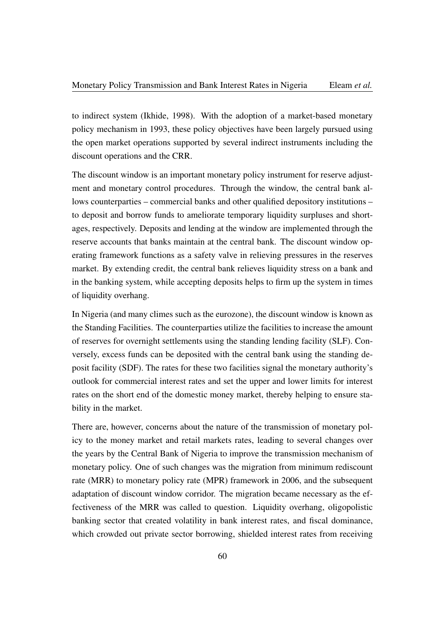to indirect system (Ikhide, 1998). With the adoption of a market-based monetary policy mechanism in 1993, these policy objectives have been largely pursued using the open market operations supported by several indirect instruments including the discount operations and the CRR.

The discount window is an important monetary policy instrument for reserve adjustment and monetary control procedures. Through the window, the central bank allows counterparties – commercial banks and other qualified depository institutions – to deposit and borrow funds to ameliorate temporary liquidity surpluses and shortages, respectively. Deposits and lending at the window are implemented through the reserve accounts that banks maintain at the central bank. The discount window operating framework functions as a safety valve in relieving pressures in the reserves market. By extending credit, the central bank relieves liquidity stress on a bank and in the banking system, while accepting deposits helps to firm up the system in times of liquidity overhang.

In Nigeria (and many climes such as the eurozone), the discount window is known as the Standing Facilities. The counterparties utilize the facilities to increase the amount of reserves for overnight settlements using the standing lending facility (SLF). Conversely, excess funds can be deposited with the central bank using the standing deposit facility (SDF). The rates for these two facilities signal the monetary authority's outlook for commercial interest rates and set the upper and lower limits for interest rates on the short end of the domestic money market, thereby helping to ensure stability in the market.

There are, however, concerns about the nature of the transmission of monetary policy to the money market and retail markets rates, leading to several changes over the years by the Central Bank of Nigeria to improve the transmission mechanism of monetary policy. One of such changes was the migration from minimum rediscount rate (MRR) to monetary policy rate (MPR) framework in 2006, and the subsequent adaptation of discount window corridor. The migration became necessary as the effectiveness of the MRR was called to question. Liquidity overhang, oligopolistic banking sector that created volatility in bank interest rates, and fiscal dominance, which crowded out private sector borrowing, shielded interest rates from receiving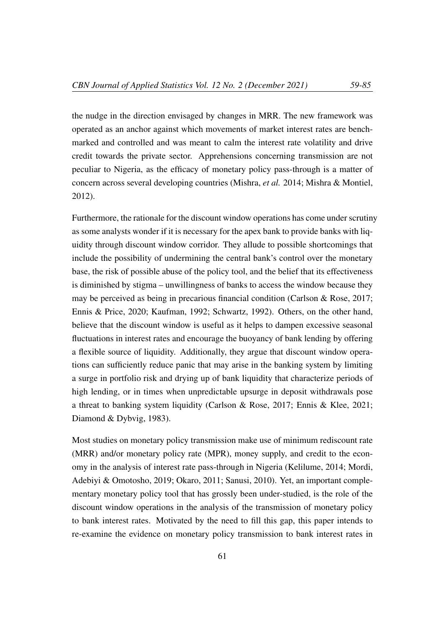the nudge in the direction envisaged by changes in MRR. The new framework was operated as an anchor against which movements of market interest rates are benchmarked and controlled and was meant to calm the interest rate volatility and drive credit towards the private sector. Apprehensions concerning transmission are not peculiar to Nigeria, as the efficacy of monetary policy pass-through is a matter of concern across several developing countries (Mishra, *et al.* 2014; Mishra & Montiel, 2012).

Furthermore, the rationale for the discount window operations has come under scrutiny as some analysts wonder if it is necessary for the apex bank to provide banks with liquidity through discount window corridor. They allude to possible shortcomings that include the possibility of undermining the central bank's control over the monetary base, the risk of possible abuse of the policy tool, and the belief that its effectiveness is diminished by stigma – unwillingness of banks to access the window because they may be perceived as being in precarious financial condition (Carlson & Rose, 2017; Ennis & Price, 2020; Kaufman, 1992; Schwartz, 1992). Others, on the other hand, believe that the discount window is useful as it helps to dampen excessive seasonal fluctuations in interest rates and encourage the buoyancy of bank lending by offering a flexible source of liquidity. Additionally, they argue that discount window operations can sufficiently reduce panic that may arise in the banking system by limiting a surge in portfolio risk and drying up of bank liquidity that characterize periods of high lending, or in times when unpredictable upsurge in deposit withdrawals pose a threat to banking system liquidity (Carlson & Rose, 2017; Ennis & Klee, 2021; Diamond & Dybvig, 1983).

Most studies on monetary policy transmission make use of minimum rediscount rate (MRR) and/or monetary policy rate (MPR), money supply, and credit to the economy in the analysis of interest rate pass-through in Nigeria (Kelilume, 2014; Mordi, Adebiyi & Omotosho, 2019; Okaro, 2011; Sanusi, 2010). Yet, an important complementary monetary policy tool that has grossly been under-studied, is the role of the discount window operations in the analysis of the transmission of monetary policy to bank interest rates. Motivated by the need to fill this gap, this paper intends to re-examine the evidence on monetary policy transmission to bank interest rates in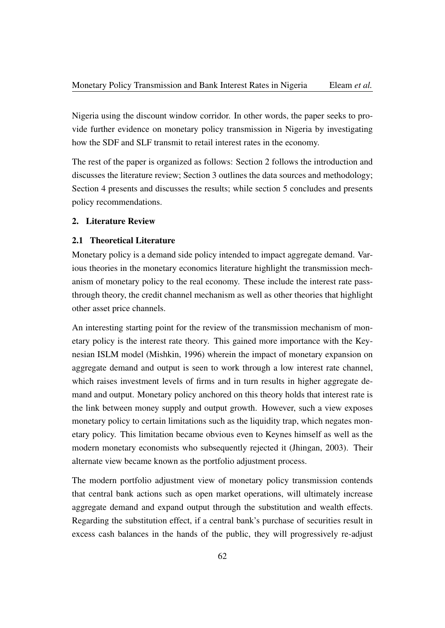Nigeria using the discount window corridor. In other words, the paper seeks to provide further evidence on monetary policy transmission in Nigeria by investigating how the SDF and SLF transmit to retail interest rates in the economy.

The rest of the paper is organized as follows: Section 2 follows the introduction and discusses the literature review; Section 3 outlines the data sources and methodology; Section 4 presents and discusses the results; while section 5 concludes and presents policy recommendations.

#### 2. Literature Review

## 2.1 Theoretical Literature

Monetary policy is a demand side policy intended to impact aggregate demand. Various theories in the monetary economics literature highlight the transmission mechanism of monetary policy to the real economy. These include the interest rate passthrough theory, the credit channel mechanism as well as other theories that highlight other asset price channels.

An interesting starting point for the review of the transmission mechanism of monetary policy is the interest rate theory. This gained more importance with the Keynesian ISLM model (Mishkin, 1996) wherein the impact of monetary expansion on aggregate demand and output is seen to work through a low interest rate channel, which raises investment levels of firms and in turn results in higher aggregate demand and output. Monetary policy anchored on this theory holds that interest rate is the link between money supply and output growth. However, such a view exposes monetary policy to certain limitations such as the liquidity trap, which negates monetary policy. This limitation became obvious even to Keynes himself as well as the modern monetary economists who subsequently rejected it (Jhingan, 2003). Their alternate view became known as the portfolio adjustment process.

The modern portfolio adjustment view of monetary policy transmission contends that central bank actions such as open market operations, will ultimately increase aggregate demand and expand output through the substitution and wealth effects. Regarding the substitution effect, if a central bank's purchase of securities result in excess cash balances in the hands of the public, they will progressively re-adjust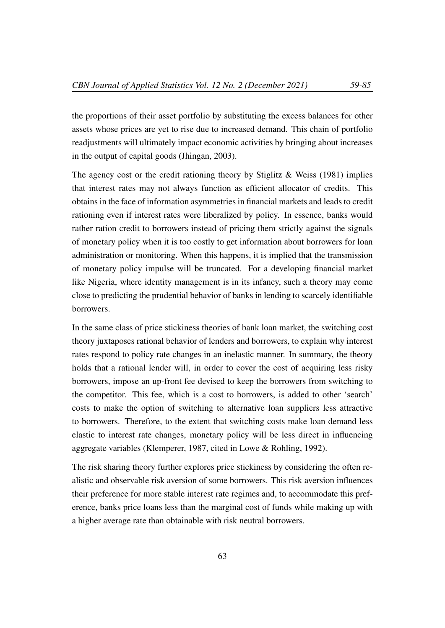the proportions of their asset portfolio by substituting the excess balances for other assets whose prices are yet to rise due to increased demand. This chain of portfolio readjustments will ultimately impact economic activities by bringing about increases in the output of capital goods (Jhingan, 2003).

The agency cost or the credit rationing theory by Stiglitz  $\&$  Weiss (1981) implies that interest rates may not always function as efficient allocator of credits. This obtains in the face of information asymmetries in financial markets and leads to credit rationing even if interest rates were liberalized by policy. In essence, banks would rather ration credit to borrowers instead of pricing them strictly against the signals of monetary policy when it is too costly to get information about borrowers for loan administration or monitoring. When this happens, it is implied that the transmission of monetary policy impulse will be truncated. For a developing financial market like Nigeria, where identity management is in its infancy, such a theory may come close to predicting the prudential behavior of banks in lending to scarcely identifiable borrowers.

In the same class of price stickiness theories of bank loan market, the switching cost theory juxtaposes rational behavior of lenders and borrowers, to explain why interest rates respond to policy rate changes in an inelastic manner. In summary, the theory holds that a rational lender will, in order to cover the cost of acquiring less risky borrowers, impose an up-front fee devised to keep the borrowers from switching to the competitor. This fee, which is a cost to borrowers, is added to other 'search' costs to make the option of switching to alternative loan suppliers less attractive to borrowers. Therefore, to the extent that switching costs make loan demand less elastic to interest rate changes, monetary policy will be less direct in influencing aggregate variables (Klemperer, 1987, cited in Lowe & Rohling, 1992).

The risk sharing theory further explores price stickiness by considering the often realistic and observable risk aversion of some borrowers. This risk aversion influences their preference for more stable interest rate regimes and, to accommodate this preference, banks price loans less than the marginal cost of funds while making up with a higher average rate than obtainable with risk neutral borrowers.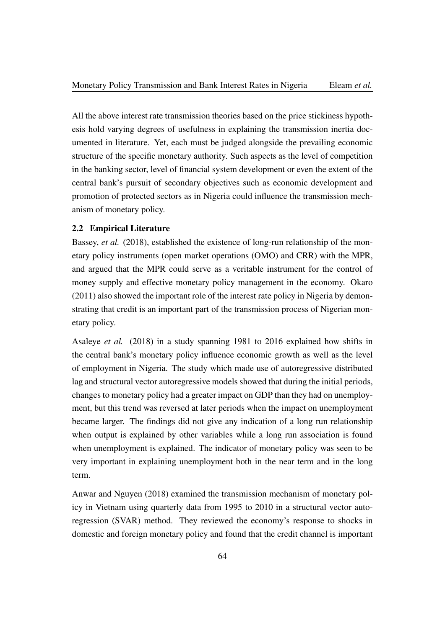All the above interest rate transmission theories based on the price stickiness hypothesis hold varying degrees of usefulness in explaining the transmission inertia documented in literature. Yet, each must be judged alongside the prevailing economic structure of the specific monetary authority. Such aspects as the level of competition in the banking sector, level of financial system development or even the extent of the central bank's pursuit of secondary objectives such as economic development and promotion of protected sectors as in Nigeria could influence the transmission mechanism of monetary policy.

## 2.2 Empirical Literature

Bassey, *et al.* (2018), established the existence of long-run relationship of the monetary policy instruments (open market operations (OMO) and CRR) with the MPR, and argued that the MPR could serve as a veritable instrument for the control of money supply and effective monetary policy management in the economy. Okaro (2011) also showed the important role of the interest rate policy in Nigeria by demonstrating that credit is an important part of the transmission process of Nigerian monetary policy.

Asaleye *et al.* (2018) in a study spanning 1981 to 2016 explained how shifts in the central bank's monetary policy influence economic growth as well as the level of employment in Nigeria. The study which made use of autoregressive distributed lag and structural vector autoregressive models showed that during the initial periods, changes to monetary policy had a greater impact on GDP than they had on unemployment, but this trend was reversed at later periods when the impact on unemployment became larger. The findings did not give any indication of a long run relationship when output is explained by other variables while a long run association is found when unemployment is explained. The indicator of monetary policy was seen to be very important in explaining unemployment both in the near term and in the long term.

Anwar and Nguyen (2018) examined the transmission mechanism of monetary policy in Vietnam using quarterly data from 1995 to 2010 in a structural vector autoregression (SVAR) method. They reviewed the economy's response to shocks in domestic and foreign monetary policy and found that the credit channel is important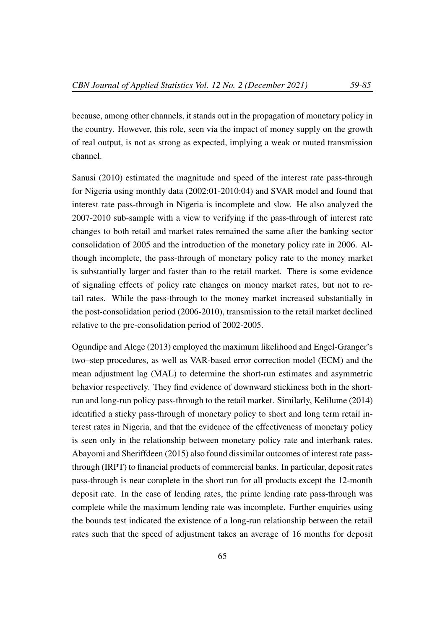because, among other channels, it stands out in the propagation of monetary policy in the country. However, this role, seen via the impact of money supply on the growth of real output, is not as strong as expected, implying a weak or muted transmission channel.

Sanusi (2010) estimated the magnitude and speed of the interest rate pass-through for Nigeria using monthly data (2002:01-2010:04) and SVAR model and found that interest rate pass-through in Nigeria is incomplete and slow. He also analyzed the 2007-2010 sub-sample with a view to verifying if the pass-through of interest rate changes to both retail and market rates remained the same after the banking sector consolidation of 2005 and the introduction of the monetary policy rate in 2006. Although incomplete, the pass-through of monetary policy rate to the money market is substantially larger and faster than to the retail market. There is some evidence of signaling effects of policy rate changes on money market rates, but not to retail rates. While the pass-through to the money market increased substantially in the post-consolidation period (2006-2010), transmission to the retail market declined relative to the pre-consolidation period of 2002-2005.

Ogundipe and Alege (2013) employed the maximum likelihood and Engel-Granger's two–step procedures, as well as VAR-based error correction model (ECM) and the mean adjustment lag (MAL) to determine the short-run estimates and asymmetric behavior respectively. They find evidence of downward stickiness both in the shortrun and long-run policy pass-through to the retail market. Similarly, Kelilume (2014) identified a sticky pass-through of monetary policy to short and long term retail interest rates in Nigeria, and that the evidence of the effectiveness of monetary policy is seen only in the relationship between monetary policy rate and interbank rates. Abayomi and Sheriffdeen (2015) also found dissimilar outcomes of interest rate passthrough (IRPT) to financial products of commercial banks. In particular, deposit rates pass-through is near complete in the short run for all products except the 12-month deposit rate. In the case of lending rates, the prime lending rate pass-through was complete while the maximum lending rate was incomplete. Further enquiries using the bounds test indicated the existence of a long-run relationship between the retail rates such that the speed of adjustment takes an average of 16 months for deposit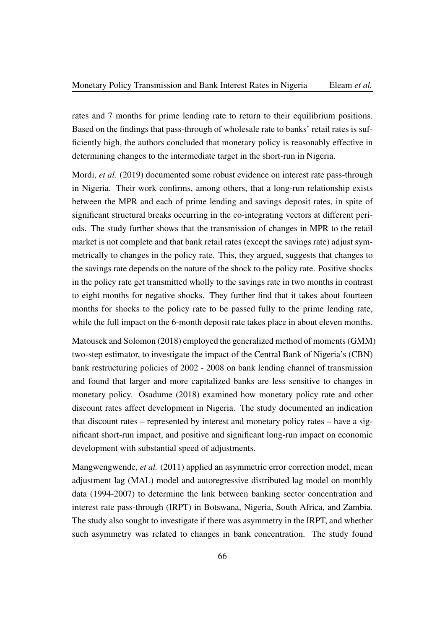rates and 7 months for prime lending rate to return to their equilibrium positions. Based on the findings that pass-through of wholesale rate to banks' retail rates is sufficiently high, the authors concluded that monetary policy is reasonably effective in determining changes to the intermediate target in the short-run in Nigeria.

Mordi, *et al.* (2019) documented some robust evidence on interest rate pass-through in Nigeria. Their work confirms, among others, that a long-run relationship exists between the MPR and each of prime lending and savings deposit rates, in spite of significant structural breaks occurring in the co-integrating vectors at different periods. The study further shows that the transmission of changes in MPR to the retail market is not complete and that bank retail rates (except the savings rate) adjust symmetrically to changes in the policy rate. This, they argued, suggests that changes to the savings rate depends on the nature of the shock to the policy rate. Positive shocks in the policy rate get transmitted wholly to the savings rate in two months in contrast to eight months for negative shocks. They further find that it takes about fourteen months for shocks to the policy rate to be passed fully to the prime lending rate, while the full impact on the 6-month deposit rate takes place in about eleven months.

Matousek and Solomon (2018) employed the generalized method of moments (GMM) two-step estimator, to investigate the impact of the Central Bank of Nigeria's (CBN) bank restructuring policies of 2002 - 2008 on bank lending channel of transmission and found that larger and more capitalized banks are less sensitive to changes in monetary policy. Osadume (2018) examined how monetary policy rate and other discount rates affect development in Nigeria. The study documented an indication that discount rates – represented by interest and monetary policy rates – have a significant short-run impact, and positive and significant long-run impact on economic development with substantial speed of adjustments.

Mangwengwende, *et al.* (2011) applied an asymmetric error correction model, mean adjustment lag (MAL) model and autoregressive distributed lag model on monthly data (1994-2007) to determine the link between banking sector concentration and interest rate pass-through (IRPT) in Botswana, Nigeria, South Africa, and Zambia. The study also sought to investigate if there was asymmetry in the IRPT, and whether such asymmetry was related to changes in bank concentration. The study found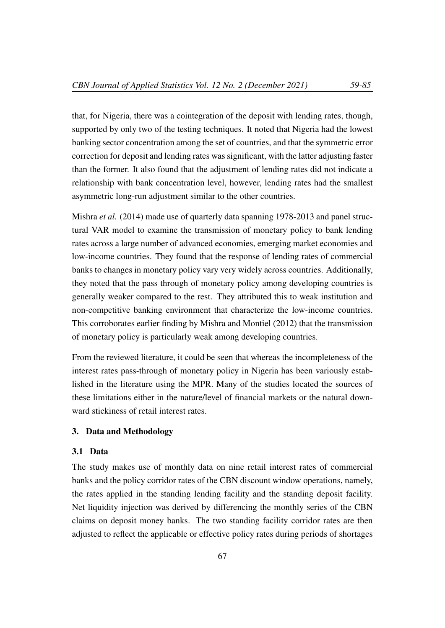that, for Nigeria, there was a cointegration of the deposit with lending rates, though, supported by only two of the testing techniques. It noted that Nigeria had the lowest banking sector concentration among the set of countries, and that the symmetric error correction for deposit and lending rates was significant, with the latter adjusting faster than the former. It also found that the adjustment of lending rates did not indicate a relationship with bank concentration level, however, lending rates had the smallest asymmetric long-run adjustment similar to the other countries.

Mishra *et al.* (2014) made use of quarterly data spanning 1978-2013 and panel structural VAR model to examine the transmission of monetary policy to bank lending rates across a large number of advanced economies, emerging market economies and low-income countries. They found that the response of lending rates of commercial banks to changes in monetary policy vary very widely across countries. Additionally, they noted that the pass through of monetary policy among developing countries is generally weaker compared to the rest. They attributed this to weak institution and non-competitive banking environment that characterize the low-income countries. This corroborates earlier finding by Mishra and Montiel (2012) that the transmission of monetary policy is particularly weak among developing countries.

From the reviewed literature, it could be seen that whereas the incompleteness of the interest rates pass-through of monetary policy in Nigeria has been variously established in the literature using the MPR. Many of the studies located the sources of these limitations either in the nature/level of financial markets or the natural downward stickiness of retail interest rates.

## 3. Data and Methodology

#### 3.1 Data

The study makes use of monthly data on nine retail interest rates of commercial banks and the policy corridor rates of the CBN discount window operations, namely, the rates applied in the standing lending facility and the standing deposit facility. Net liquidity injection was derived by differencing the monthly series of the CBN claims on deposit money banks. The two standing facility corridor rates are then adjusted to reflect the applicable or effective policy rates during periods of shortages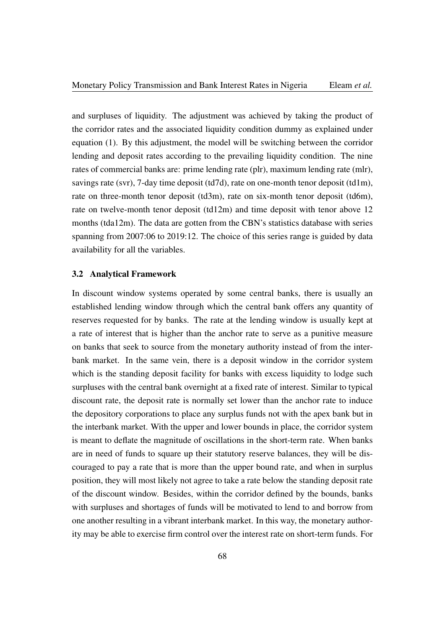and surpluses of liquidity. The adjustment was achieved by taking the product of the corridor rates and the associated liquidity condition dummy as explained under equation (1). By this adjustment, the model will be switching between the corridor lending and deposit rates according to the prevailing liquidity condition. The nine rates of commercial banks are: prime lending rate (plr), maximum lending rate (mlr), savings rate (svr), 7-day time deposit (td7d), rate on one-month tenor deposit (td1m), rate on three-month tenor deposit (td3m), rate on six-month tenor deposit (td6m), rate on twelve-month tenor deposit (td12m) and time deposit with tenor above 12 months (tda12m). The data are gotten from the CBN's statistics database with series spanning from 2007:06 to 2019:12. The choice of this series range is guided by data availability for all the variables.

## 3.2 Analytical Framework

In discount window systems operated by some central banks, there is usually an established lending window through which the central bank offers any quantity of reserves requested for by banks. The rate at the lending window is usually kept at a rate of interest that is higher than the anchor rate to serve as a punitive measure on banks that seek to source from the monetary authority instead of from the interbank market. In the same vein, there is a deposit window in the corridor system which is the standing deposit facility for banks with excess liquidity to lodge such surpluses with the central bank overnight at a fixed rate of interest. Similar to typical discount rate, the deposit rate is normally set lower than the anchor rate to induce the depository corporations to place any surplus funds not with the apex bank but in the interbank market. With the upper and lower bounds in place, the corridor system is meant to deflate the magnitude of oscillations in the short-term rate. When banks are in need of funds to square up their statutory reserve balances, they will be discouraged to pay a rate that is more than the upper bound rate, and when in surplus position, they will most likely not agree to take a rate below the standing deposit rate of the discount window. Besides, within the corridor defined by the bounds, banks with surpluses and shortages of funds will be motivated to lend to and borrow from one another resulting in a vibrant interbank market. In this way, the monetary authority may be able to exercise firm control over the interest rate on short-term funds. For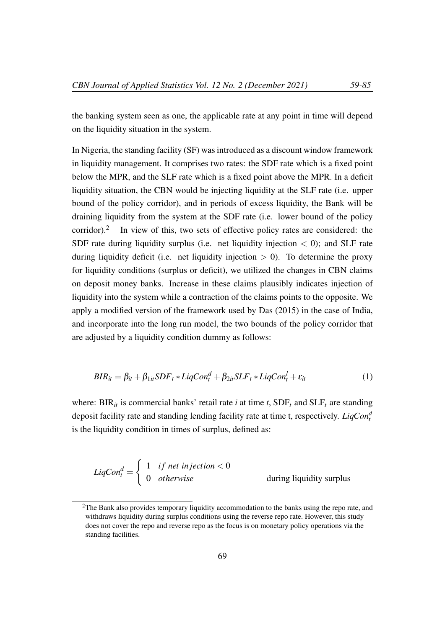the banking system seen as one, the applicable rate at any point in time will depend on the liquidity situation in the system.

In Nigeria, the standing facility (SF) was introduced as a discount window framework in liquidity management. It comprises two rates: the SDF rate which is a fixed point below the MPR, and the SLF rate which is a fixed point above the MPR. In a deficit liquidity situation, the CBN would be injecting liquidity at the SLF rate (i.e. upper bound of the policy corridor), and in periods of excess liquidity, the Bank will be draining liquidity from the system at the SDF rate (i.e. lower bound of the policy corridor). $^2$ In view of this, two sets of effective policy rates are considered: the SDF rate during liquidity surplus (i.e. net liquidity injection  $\lt$  0); and SLF rate during liquidity deficit (i.e. net liquidity injection  $> 0$ ). To determine the proxy for liquidity conditions (surplus or deficit), we utilized the changes in CBN claims on deposit money banks. Increase in these claims plausibly indicates injection of liquidity into the system while a contraction of the claims points to the opposite. We apply a modified version of the framework used by Das (2015) in the case of India, and incorporate into the long run model, the two bounds of the policy corridor that are adjusted by a liquidity condition dummy as follows:

$$
BIR_{it} = \beta_{it} + \beta_{1it} SDF_t * LiqCon_t^d + \beta_{2it} SLF_t * LiqCon_t^l + \varepsilon_{it}
$$
 (1)

where:  $\text{BIR}_{it}$  is commercial banks' retail rate *i* at time *t*,  $\text{SDF}_t$  and  $\text{SLF}_t$  are standing deposit facility rate and standing lending facility rate at time t, respectively. *LiqCon<sup>d</sup> t* is the liquidity condition in times of surplus, defined as:

$$
LiqCon_t^d = \begin{cases} 1 & \text{if net injection} < 0 \\ 0 & \text{otherwise} \end{cases}
$$
 during liquidity surplus

 $2$ The Bank also provides temporary liquidity accommodation to the banks using the repo rate, and withdraws liquidity during surplus conditions using the reverse repo rate. However, this study does not cover the repo and reverse repo as the focus is on monetary policy operations via the standing facilities.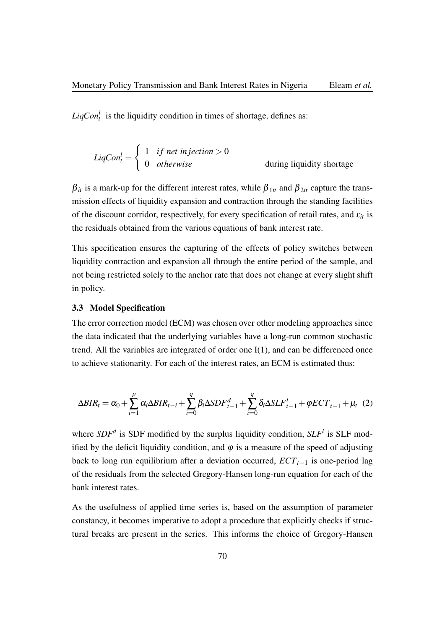$LiqCon_t^l$  is the liquidity condition in times of shortage, defines as:

$$
LiqCon_t^l = \begin{cases} 1 & \text{if net injection} > 0 \\ 0 & \text{otherwise} \end{cases}
$$
 during liquidity shortage

 $\beta_{it}$  is a mark-up for the different interest rates, while  $\beta_{1it}$  and  $\beta_{2it}$  capture the transmission effects of liquidity expansion and contraction through the standing facilities of the discount corridor, respectively, for every specification of retail rates, and  $\varepsilon_{it}$  is the residuals obtained from the various equations of bank interest rate.

This specification ensures the capturing of the effects of policy switches between liquidity contraction and expansion all through the entire period of the sample, and not being restricted solely to the anchor rate that does not change at every slight shift in policy.

## 3.3 Model Specification

The error correction model (ECM) was chosen over other modeling approaches since the data indicated that the underlying variables have a long-run common stochastic trend. All the variables are integrated of order one I(1), and can be differenced once to achieve stationarity. For each of the interest rates, an ECM is estimated thus:

$$
\Delta BIR_t = \alpha_0 + \sum_{i=1}^p \alpha_i \Delta BIR_{t-i} + \sum_{i=0}^q \beta_i \Delta SDF_{t-1}^d + \sum_{i=0}^q \delta_i \Delta SLF_{t-1}^l + \varphi ECT_{t-1} + \mu_t \tag{2}
$$

where  $SDF<sup>d</sup>$  is SDF modified by the surplus liquidity condition,  $SLF<sup>l</sup>$  is SLF modified by the deficit liquidity condition, and  $\varphi$  is a measure of the speed of adjusting back to long run equilibrium after a deviation occurred, *ECTt*−<sup>1</sup> is one-period lag of the residuals from the selected Gregory-Hansen long-run equation for each of the bank interest rates.

As the usefulness of applied time series is, based on the assumption of parameter constancy, it becomes imperative to adopt a procedure that explicitly checks if structural breaks are present in the series. This informs the choice of Gregory-Hansen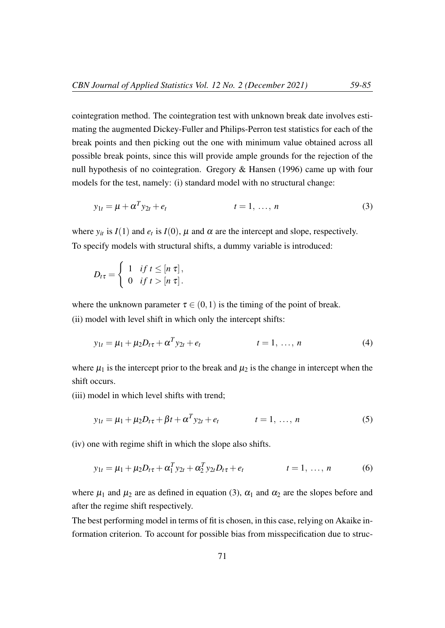cointegration method. The cointegration test with unknown break date involves estimating the augmented Dickey-Fuller and Philips-Perron test statistics for each of the break points and then picking out the one with minimum value obtained across all possible break points, since this will provide ample grounds for the rejection of the null hypothesis of no cointegration. Gregory & Hansen (1996) came up with four models for the test, namely: (i) standard model with no structural change:

$$
y_{1t} = \mu + \alpha^T y_{2t} + e_t \qquad \qquad t = 1, \dots, n \tag{3}
$$

where  $y_{it}$  is  $I(1)$  and  $e_t$  is  $I(0)$ ,  $\mu$  and  $\alpha$  are the intercept and slope, respectively. To specify models with structural shifts, a dummy variable is introduced:

$$
D_{t\tau} = \begin{cases} 1 & \text{if } t \leq [n \tau], \\ 0 & \text{if } t > [n \tau]. \end{cases}
$$

where the unknown parameter  $\tau \in (0,1)$  is the timing of the point of break. (ii) model with level shift in which only the intercept shifts:

$$
y_{1t} = \mu_1 + \mu_2 D_{t\tau} + \alpha^T y_{2t} + e_t \qquad t = 1, ..., n \qquad (4)
$$

where  $\mu_1$  is the intercept prior to the break and  $\mu_2$  is the change in intercept when the shift occurs.

(iii) model in which level shifts with trend;

$$
y_{1t} = \mu_1 + \mu_2 D_{t\tau} + \beta t + \alpha^T y_{2t} + e_t \qquad t = 1, ..., n \qquad (5)
$$

(iv) one with regime shift in which the slope also shifts.

$$
y_{1t} = \mu_1 + \mu_2 D_{t\tau} + \alpha_1^T y_{2t} + \alpha_2^T y_{2t} D_{t\tau} + e_t \qquad t = 1, ..., n \qquad (6)
$$

where  $\mu_1$  and  $\mu_2$  are as defined in equation (3),  $\alpha_1$  and  $\alpha_2$  are the slopes before and after the regime shift respectively.

The best performing model in terms of fit is chosen, in this case, relying on Akaike information criterion. To account for possible bias from misspecification due to struc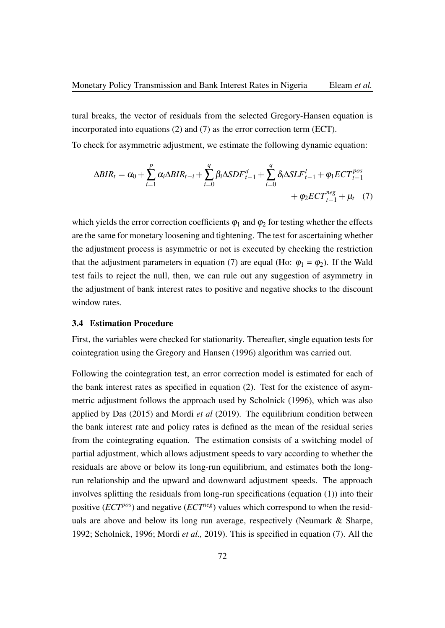tural breaks, the vector of residuals from the selected Gregory-Hansen equation is incorporated into equations (2) and (7) as the error correction term (ECT).

To check for asymmetric adjustment, we estimate the following dynamic equation:

$$
\Delta BIR_{t} = \alpha_{0} + \sum_{i=1}^{p} \alpha_{i} \Delta BIR_{t-i} + \sum_{i=0}^{q} \beta_{i} \Delta SDF_{t-1}^{d} + \sum_{i=0}^{q} \delta_{i} \Delta SLF_{t-1}^{l} + \varphi_{1} ECT_{t-1}^{pos} + \varphi_{2} ECT_{t-1}^{neg} + \mu_{t} \quad (7)
$$

which yields the error correction coefficients  $\varphi_1$  and  $\varphi_2$  for testing whether the effects are the same for monetary loosening and tightening. The test for ascertaining whether the adjustment process is asymmetric or not is executed by checking the restriction that the adjustment parameters in equation (7) are equal (Ho:  $\varphi_1 = \varphi_2$ ). If the Wald test fails to reject the null, then, we can rule out any suggestion of asymmetry in the adjustment of bank interest rates to positive and negative shocks to the discount window rates.

## 3.4 Estimation Procedure

First, the variables were checked for stationarity. Thereafter, single equation tests for cointegration using the Gregory and Hansen (1996) algorithm was carried out.

Following the cointegration test, an error correction model is estimated for each of the bank interest rates as specified in equation (2). Test for the existence of asymmetric adjustment follows the approach used by Scholnick (1996), which was also applied by Das (2015) and Mordi *et al* (2019). The equilibrium condition between the bank interest rate and policy rates is defined as the mean of the residual series from the cointegrating equation. The estimation consists of a switching model of partial adjustment, which allows adjustment speeds to vary according to whether the residuals are above or below its long-run equilibrium, and estimates both the longrun relationship and the upward and downward adjustment speeds. The approach involves splitting the residuals from long-run specifications (equation (1)) into their positive (*ECTpos*) and negative (*ECTneg*) values which correspond to when the residuals are above and below its long run average, respectively (Neumark & Sharpe, 1992; Scholnick, 1996; Mordi *et al.,* 2019). This is specified in equation (7). All the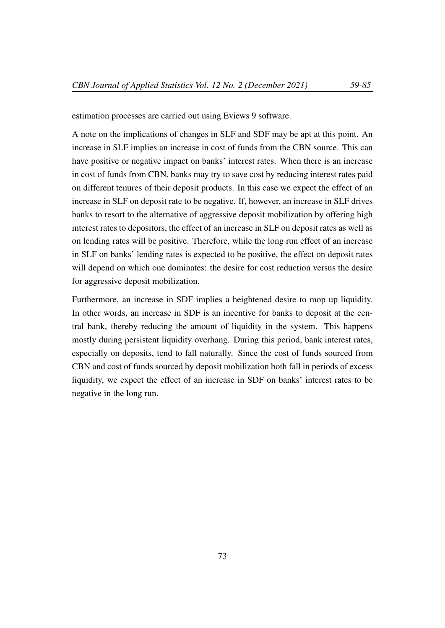estimation processes are carried out using Eviews 9 software.

A note on the implications of changes in SLF and SDF may be apt at this point. An increase in SLF implies an increase in cost of funds from the CBN source. This can have positive or negative impact on banks' interest rates. When there is an increase in cost of funds from CBN, banks may try to save cost by reducing interest rates paid on different tenures of their deposit products. In this case we expect the effect of an increase in SLF on deposit rate to be negative. If, however, an increase in SLF drives banks to resort to the alternative of aggressive deposit mobilization by offering high interest rates to depositors, the effect of an increase in SLF on deposit rates as well as on lending rates will be positive. Therefore, while the long run effect of an increase in SLF on banks' lending rates is expected to be positive, the effect on deposit rates will depend on which one dominates: the desire for cost reduction versus the desire for aggressive deposit mobilization.

Furthermore, an increase in SDF implies a heightened desire to mop up liquidity. In other words, an increase in SDF is an incentive for banks to deposit at the central bank, thereby reducing the amount of liquidity in the system. This happens mostly during persistent liquidity overhang. During this period, bank interest rates, especially on deposits, tend to fall naturally. Since the cost of funds sourced from CBN and cost of funds sourced by deposit mobilization both fall in periods of excess liquidity, we expect the effect of an increase in SDF on banks' interest rates to be negative in the long run.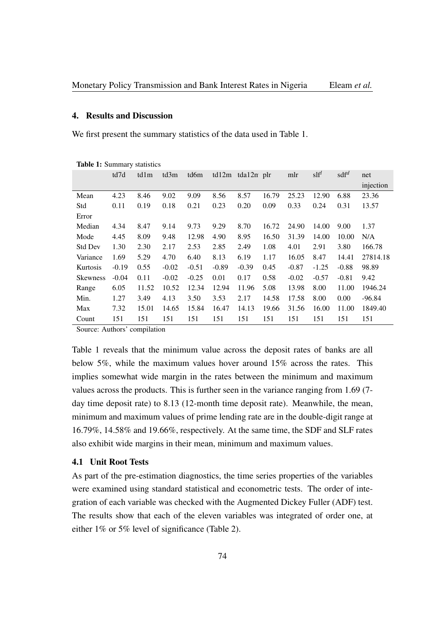#### 4. Results and Discussion

We first present the summary statistics of the data used in Table 1.

|                 | td7d    | td1m  | td3m    | td6m    |         | $td12m$ $tda12n$ plr |       | mlr     | $\text{s}$ lf <sup>l</sup> | sdf <sup>d</sup> | net       |
|-----------------|---------|-------|---------|---------|---------|----------------------|-------|---------|----------------------------|------------------|-----------|
|                 |         |       |         |         |         |                      |       |         |                            |                  | injection |
| Mean            | 4.23    | 8.46  | 9.02    | 9.09    | 8.56    | 8.57                 | 16.79 | 25.23   | 12.90                      | 6.88             | 23.36     |
| Std             | 0.11    | 0.19  | 0.18    | 0.21    | 0.23    | 0.20                 | 0.09  | 0.33    | 0.24                       | 0.31             | 13.57     |
| Error           |         |       |         |         |         |                      |       |         |                            |                  |           |
| Median          | 4.34    | 8.47  | 9.14    | 9.73    | 9.29    | 8.70                 | 16.72 | 24.90   | 14.00                      | 9.00             | 1.37      |
| Mode            | 4.45    | 8.09  | 9.48    | 12.98   | 4.90    | 8.95                 | 16.50 | 31.39   | 14.00                      | 10.00            | N/A       |
| <b>Std Dev</b>  | 1.30    | 2.30  | 2.17    | 2.53    | 2.85    | 2.49                 | 1.08  | 4.01    | 2.91                       | 3.80             | 166.78    |
| Variance        | 1.69    | 5.29  | 4.70    | 6.40    | 8.13    | 6.19                 | 1.17  | 16.05   | 8.47                       | 14.41            | 27814.18  |
| Kurtosis        | $-0.19$ | 0.55  | $-0.02$ | $-0.51$ | $-0.89$ | $-0.39$              | 0.45  | $-0.87$ | $-1.25$                    | $-0.88$          | 98.89     |
| <b>Skewness</b> | $-0.04$ | 0.11  | $-0.02$ | $-0.25$ | 0.01    | 0.17                 | 0.58  | $-0.02$ | $-0.57$                    | $-0.81$          | 9.42      |
| Range           | 6.05    | 11.52 | 10.52   | 12.34   | 12.94   | 11.96                | 5.08  | 13.98   | 8.00                       | 11.00            | 1946.24   |
| Min.            | 1.27    | 3.49  | 4.13    | 3.50    | 3.53    | 2.17                 | 14.58 | 17.58   | 8.00                       | 0.00             | $-96.84$  |
| Max             | 7.32    | 15.01 | 14.65   | 15.84   | 16.47   | 14.13                | 19.66 | 31.56   | 16.00                      | 11.00            | 1849.40   |
| Count           | 151     | 151   | 151     | 151     | 151     | 151                  | 151   | 151     | 151                        | 151              | 151       |

Table 1: Summary statistics

Source: Authors' compilation

Table 1 reveals that the minimum value across the deposit rates of banks are all below 5%, while the maximum values hover around 15% across the rates. This implies somewhat wide margin in the rates between the minimum and maximum values across the products. This is further seen in the variance ranging from 1.69 (7 day time deposit rate) to 8.13 (12-month time deposit rate). Meanwhile, the mean, minimum and maximum values of prime lending rate are in the double-digit range at 16.79%, 14.58% and 19.66%, respectively. At the same time, the SDF and SLF rates also exhibit wide margins in their mean, minimum and maximum values.

## 4.1 Unit Root Tests

As part of the pre-estimation diagnostics, the time series properties of the variables were examined using standard statistical and econometric tests. The order of integration of each variable was checked with the Augmented Dickey Fuller (ADF) test. The results show that each of the eleven variables was integrated of order one, at either 1% or 5% level of significance (Table 2).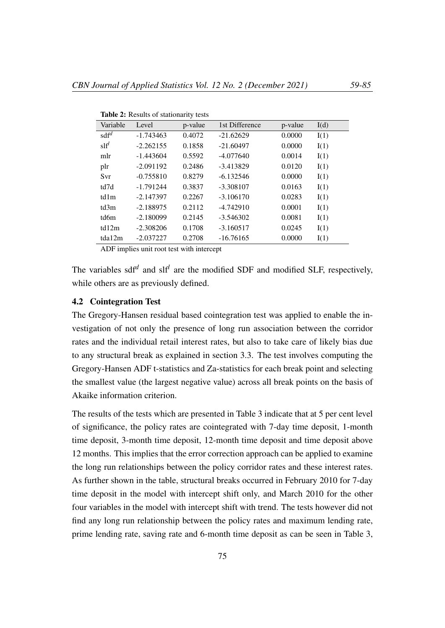| Variable                   | Level       | p-value | 1st Difference | p-value | I(d) |
|----------------------------|-------------|---------|----------------|---------|------|
| $\text{sdf}^d$             | $-1.743463$ | 0.4072  | $-21.62629$    | 0.0000  | I(1) |
| $\mathrm{s} \mathrm{lf}^l$ | $-2.262155$ | 0.1858  | $-21.60497$    | 0.0000  | I(1) |
| mlr                        | $-1.443604$ | 0.5592  | $-4.077640$    | 0.0014  | I(1) |
| plr                        | $-2.091192$ | 0.2486  | $-3.413829$    | 0.0120  | I(1) |
| Svr                        | $-0.755810$ | 0.8279  | $-6.132546$    | 0.0000  | I(1) |
| td7d                       | $-1.791244$ | 0.3837  | $-3.308107$    | 0.0163  | I(1) |
| td1m                       | $-2.147397$ | 0.2267  | $-3.106170$    | 0.0283  | I(1) |
| td3m                       | $-2.188975$ | 0.2112  | $-4.742910$    | 0.0001  | I(1) |
| td6m                       | $-2.180099$ | 0.2145  | $-3.546302$    | 0.0081  | I(1) |
| td12m                      | $-2.308206$ | 0.1708  | $-3.160517$    | 0.0245  | I(1) |
| tda12m                     | $-2.037227$ | 0.2708  | $-16.76165$    | 0.0000  | I(1) |
|                            |             |         |                |         |      |

Table 2: Results of stationarity tests

ADF implies unit root test with intercept

The variables sdf<sup>d</sup> and slf<sup>l</sup> are the modified SDF and modified SLF, respectively, while others are as previously defined.

## 4.2 Cointegration Test

The Gregory-Hansen residual based cointegration test was applied to enable the investigation of not only the presence of long run association between the corridor rates and the individual retail interest rates, but also to take care of likely bias due to any structural break as explained in section 3.3. The test involves computing the Gregory-Hansen ADF t-statistics and Za-statistics for each break point and selecting the smallest value (the largest negative value) across all break points on the basis of Akaike information criterion.

The results of the tests which are presented in Table 3 indicate that at 5 per cent level of significance, the policy rates are cointegrated with 7-day time deposit, 1-month time deposit, 3-month time deposit, 12-month time deposit and time deposit above 12 months. This implies that the error correction approach can be applied to examine the long run relationships between the policy corridor rates and these interest rates. As further shown in the table, structural breaks occurred in February 2010 for 7-day time deposit in the model with intercept shift only, and March 2010 for the other four variables in the model with intercept shift with trend. The tests however did not find any long run relationship between the policy rates and maximum lending rate, prime lending rate, saving rate and 6-month time deposit as can be seen in Table 3,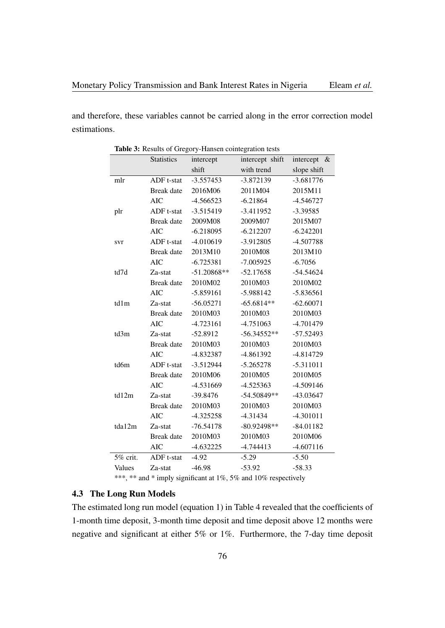and therefore, these variables cannot be carried along in the error correction model estimations.

|          | <b>Statistics</b> | intercept     | intercept shift | intercept<br>$-\&$ |
|----------|-------------------|---------------|-----------------|--------------------|
|          |                   | shift         | with trend      | slope shift        |
| mlr      | ADF t-stat        | $-3.557453$   | $-3.872139$     | $-3.681776$        |
|          | <b>Break</b> date | 2016M06       | 2011M04         | 2015M11            |
|          | <b>AIC</b>        | $-4.566523$   | $-6.21864$      | $-4.546727$        |
| plr      | ADF t-stat        | $-3.515419$   | $-3.411952$     | $-3.39585$         |
|          | <b>Break</b> date | 2009M08       | 2009M07         | 2015M07            |
|          | <b>AIC</b>        | $-6.218095$   | $-6.212207$     | $-6.242201$        |
| svr      | ADF t-stat        | $-4.010619$   | $-3.912805$     | $-4.507788$        |
|          | <b>Break</b> date | 2013M10       | 2010M08         | 2013M10            |
|          | <b>AIC</b>        | $-6.725381$   | $-7.005925$     | $-6.7056$          |
| td7d     | Za-stat           | $-51.20868**$ | $-52.17658$     | $-54.54624$        |
|          | Break date        | 2010M02       | 2010M03         | 2010M02            |
|          | <b>AIC</b>        | $-5.859161$   | $-5.988142$     | $-5.836561$        |
| td1m     | Za-stat           | $-56.05271$   | $-65.6814**$    | $-62.60071$        |
|          | Break date        | 2010M03       | 2010M03         | 2010M03            |
|          | <b>AIC</b>        | $-4.723161$   | $-4.751063$     | $-4.701479$        |
| td3m     | Za-stat           | $-52.8912$    | $-56.34552**$   | $-57.52493$        |
|          | Break date        | 2010M03       | 2010M03         | 2010M03            |
|          | <b>AIC</b>        | -4.832387     | $-4.861392$     | $-4.814729$        |
| td6m     | ADF t-stat        | $-3.512944$   | $-5.265278$     | $-5.311011$        |
|          | Break date        | 2010M06       | 2010M05         | 2010M05            |
|          | <b>AIC</b>        | -4.531669     | $-4.525363$     | $-4.509146$        |
| td12m    | Za-stat           | $-39.8476$    | $-54.50849**$   | -43.03647          |
|          | Break date        | 2010M03       | 2010M03         | 2010M03            |
|          | <b>AIC</b>        | $-4.325258$   | $-4.31434$      | $-4.301011$        |
| tda12m   | Za-stat           | $-76.54178$   | $-80.92498**$   | $-84.01182$        |
|          | <b>Break</b> date | 2010M03       | 2010M03         | 2010M06            |
|          | <b>AIC</b>        | $-4.632225$   | $-4.744413$     | $-4.607116$        |
| 5% crit. | ADF t-stat        | $-4.92$       | $-5.29$         | $-5.50$            |
| Values   | Za-stat           | $-46.98$      | $-53.92$        | $-58.33$           |
|          |                   |               |                 |                    |

|  |  | Table 3: Results of Gregory-Hansen cointegration tests |  |  |
|--|--|--------------------------------------------------------|--|--|
|--|--|--------------------------------------------------------|--|--|

\*\*\*, \*\* and \* imply significant at 1%, 5% and 10% respectively

## 4.3 The Long Run Models

The estimated long run model (equation 1) in Table 4 revealed that the coefficients of 1-month time deposit, 3-month time deposit and time deposit above 12 months were negative and significant at either 5% or 1%. Furthermore, the 7-day time deposit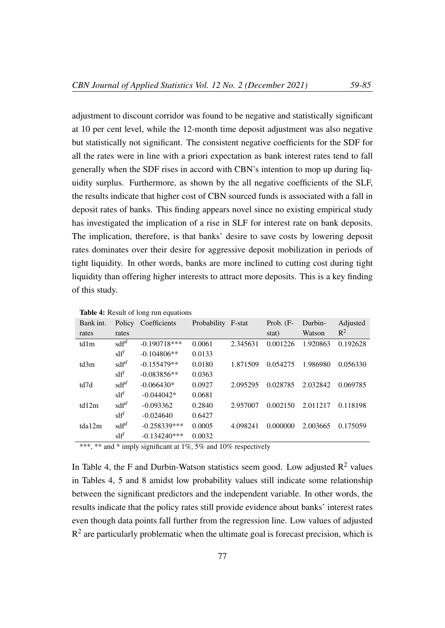adjustment to discount corridor was found to be negative and statistically significant at 10 per cent level, while the 12-month time deposit adjustment was also negative but statistically not significant. The consistent negative coefficients for the SDF for all the rates were in line with a priori expectation as bank interest rates tend to fall generally when the SDF rises in accord with CBN's intention to mop up during liquidity surplus. Furthermore, as shown by the all negative coefficients of the SLF, the results indicate that higher cost of CBN sourced funds is associated with a fall in deposit rates of banks. This finding appears novel since no existing empirical study has investigated the implication of a rise in SLF for interest rate on bank deposits. The implication, therefore, is that banks' desire to save costs by lowering deposit rates dominates over their desire for aggressive deposit mobilization in periods of tight liquidity. In other words, banks are more inclined to cutting cost during tight liquidity than offering higher interests to attract more deposits. This is a key finding of this study.

| Bank int. |                                      | Policy Coefficients | Probability F-stat |          | Prob. $(F -$ | Durbin-  | Adjusted |
|-----------|--------------------------------------|---------------------|--------------------|----------|--------------|----------|----------|
| rates     | rates                                |                     |                    |          | stat)        | Watson   | $R^2$    |
| td1m      | sdf <sup>d</sup>                     | $-0.190718***$      | 0.0061             | 2.345631 | 0.001226     | 1.920863 | 0.192628 |
|           | $\mathrm{s} \mathrm{l} \mathrm{f}^l$ | $-0.104806**$       | 0.0133             |          |              |          |          |
| td3m      | $\text{sd} \text{f}^d$               | $-0.155479**$       | 0.0180             | 1.871509 | 0.054275     | 1.986980 | 0.056330 |
|           | $\mathrm{s} \mathrm{l} \mathrm{f}^l$ | $-0.083856**$       | 0.0363             |          |              |          |          |
| td7d      | $\text{sd} \text{f}^d$               | $-0.066430*$        | 0.0927             | 2.095295 | 0.028785     | 2.032842 | 0.069785 |
|           | $\mathrm{s} \mathrm{lf}^l$           | $-0.044042*$        | 0.0681             |          |              |          |          |
| td12m     | $\text{sd} \text{f}^d$               | $-0.093362$         | 0.2840             | 2.957007 | 0.002150     | 2.011217 | 0.118198 |
|           | $\mathrm{s} \mathrm{l} \mathrm{f}^l$ | $-0.024640$         | 0.6427             |          |              |          |          |
| tda12m    | $\text{sd} \text{f}^d$               | $-0.258339***$      | 0.0005             | 4.098241 | 0.000000     | 2.003665 | 0.175059 |
|           | $\text{slf}^l$                       | $-0.134240***$      | 0.0032             |          |              |          |          |

Table 4: Result of long run equations

\*\*\*, \*\* and \* imply significant at 1%, 5% and 10% respectively

In Table 4, the F and Durbin-Watson statistics seem good. Low adjusted  $\mathbb{R}^2$  values in Tables 4, 5 and 8 amidst low probability values still indicate some relationship between the significant predictors and the independent variable. In other words, the results indicate that the policy rates still provide evidence about banks' interest rates even though data points fall further from the regression line. Low values of adjusted  $R<sup>2</sup>$  are particularly problematic when the ultimate goal is forecast precision, which is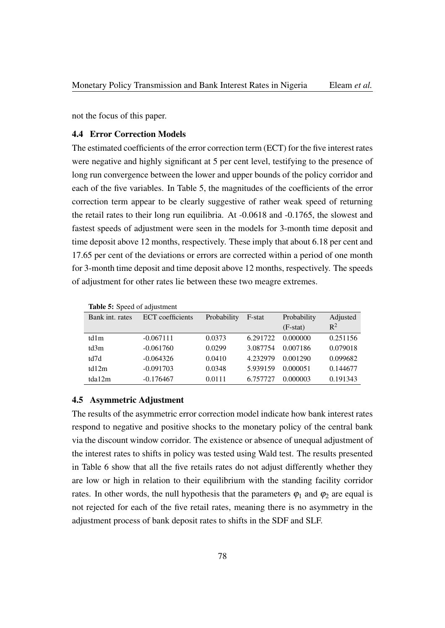not the focus of this paper.

## 4.4 Error Correction Models

The estimated coefficients of the error correction term (ECT) for the five interest rates were negative and highly significant at 5 per cent level, testifying to the presence of long run convergence between the lower and upper bounds of the policy corridor and each of the five variables. In Table 5, the magnitudes of the coefficients of the error correction term appear to be clearly suggestive of rather weak speed of returning the retail rates to their long run equilibria. At -0.0618 and -0.1765, the slowest and fastest speeds of adjustment were seen in the models for 3-month time deposit and time deposit above 12 months, respectively. These imply that about 6.18 per cent and 17.65 per cent of the deviations or errors are corrected within a period of one month for 3-month time deposit and time deposit above 12 months, respectively. The speeds of adjustment for other rates lie between these two meagre extremes.

|                 | <b>Lavit <i>J</i>.</b> $\partial \rho \vee \partial \rho$ of augustment |             |          |             |          |  |  |  |
|-----------------|-------------------------------------------------------------------------|-------------|----------|-------------|----------|--|--|--|
| Bank int. rates | <b>ECT</b> coefficients                                                 | Probability | F-stat   | Probability | Adjusted |  |  |  |
|                 |                                                                         |             |          | $(F-stat)$  | $R^2$    |  |  |  |
| td1m            | $-0.067111$                                                             | 0.0373      | 6.291722 | 0.000000    | 0.251156 |  |  |  |
| td3m            | $-0.061760$                                                             | 0.0299      | 3.087754 | 0.007186    | 0.079018 |  |  |  |
| td7d            | $-0.064326$                                                             | 0.0410      | 4.232979 | 0.001290    | 0.099682 |  |  |  |
| td12m           | $-0.091703$                                                             | 0.0348      | 5.939159 | 0.000051    | 0.144677 |  |  |  |
| tda12m          | $-0.176467$                                                             | 0.0111      | 6.757727 | 0.000003    | 0.191343 |  |  |  |
|                 |                                                                         |             |          |             |          |  |  |  |

## Table 5: Speed of adjustment

#### 4.5 Asymmetric Adjustment

The results of the asymmetric error correction model indicate how bank interest rates respond to negative and positive shocks to the monetary policy of the central bank via the discount window corridor. The existence or absence of unequal adjustment of the interest rates to shifts in policy was tested using Wald test. The results presented in Table 6 show that all the five retails rates do not adjust differently whether they are low or high in relation to their equilibrium with the standing facility corridor rates. In other words, the null hypothesis that the parameters  $\varphi_1$  and  $\varphi_2$  are equal is not rejected for each of the five retail rates, meaning there is no asymmetry in the adjustment process of bank deposit rates to shifts in the SDF and SLF.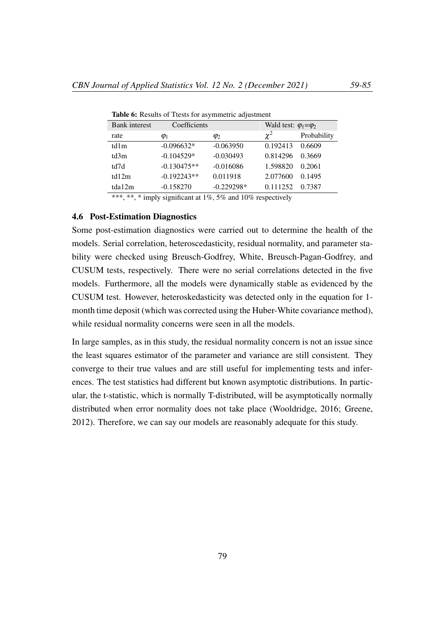| <b>Bank</b> interest | Coefficients  |              | Wald test: $\varphi_1 = \varphi_2$ |             |
|----------------------|---------------|--------------|------------------------------------|-------------|
| rate                 | $\varphi_1$   | $\varphi_2$  | $\chi^2$                           | Probability |
| td1m                 | $-0.096632*$  | $-0.063950$  | 0.192413                           | 0.6609      |
| td3m                 | $-0.104529*$  | $-0.030493$  | 0.814296                           | 0.3669      |
| td7d                 | $-0.130475**$ | $-0.016086$  | 1.598820                           | 0.2061      |
| td12m                | $-0.192243**$ | 0.011918     | 2.077600                           | 0.1495      |
| tda12m               | $-0.158270$   | $-0.229298*$ | 0.111252                           | 0.7387      |

Table 6: Results of Ttests for asymmetric adjustment

\*\*\*, \*\*, \* imply significant at 1%, 5% and 10% respectively

## 4.6 Post-Estimation Diagnostics

Some post-estimation diagnostics were carried out to determine the health of the models. Serial correlation, heteroscedasticity, residual normality, and parameter stability were checked using Breusch-Godfrey, White, Breusch-Pagan-Godfrey, and CUSUM tests, respectively. There were no serial correlations detected in the five models. Furthermore, all the models were dynamically stable as evidenced by the CUSUM test. However, heteroskedasticity was detected only in the equation for 1 month time deposit (which was corrected using the Huber-White covariance method), while residual normality concerns were seen in all the models.

In large samples, as in this study, the residual normality concern is not an issue since the least squares estimator of the parameter and variance are still consistent. They converge to their true values and are still useful for implementing tests and inferences. The test statistics had different but known asymptotic distributions. In particular, the t-statistic, which is normally T-distributed, will be asymptotically normally distributed when error normality does not take place (Wooldridge, 2016; Greene, 2012). Therefore, we can say our models are reasonably adequate for this study.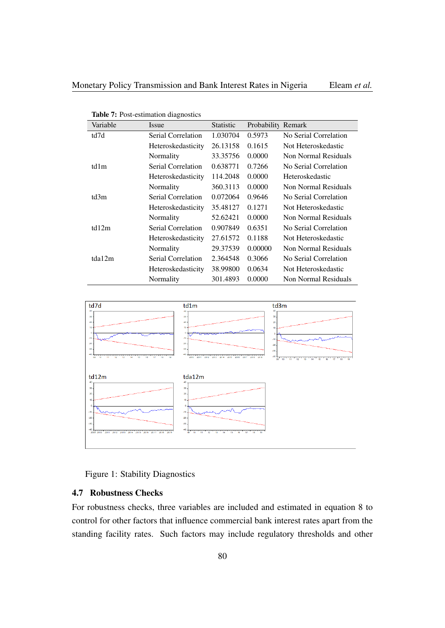| Variable | <i>Issue</i>       | <b>Statistic</b> | Probability Remark |                       |
|----------|--------------------|------------------|--------------------|-----------------------|
| td7d     | Serial Correlation | 1.030704         | 0.5973             | No Serial Correlation |
|          | Heteroskedasticity | 26.13158         | 0.1615             | Not Heteroskedastic   |
|          | Normality          | 33.35756         | 0.0000             | Non Normal Residuals  |
| td1m     | Serial Correlation | 0.638771         | 0.7266             | No Serial Correlation |
|          | Heteroskedasticity | 114.2048         | 0.0000             | Heteroskedastic       |
|          | Normality          | 360.3113         | 0.0000             | Non Normal Residuals  |
| td3m     | Serial Correlation | 0.072064         | 0.9646             | No Serial Correlation |
|          | Heteroskedasticity | 35.48127         | 0.1271             | Not Heteroskedastic   |
|          | Normality          | 52.62421         | 0.0000             | Non Normal Residuals  |
| td12m    | Serial Correlation | 0.907849         | 0.6351             | No Serial Correlation |
|          | Heteroskedasticity | 27.61572         | 0.1188             | Not Heteroskedastic   |
|          | Normality          | 29.37539         | 0.00000            | Non Normal Residuals  |
| tda12m   | Serial Correlation | 2.364548         | 0.3066             | No Serial Correlation |
|          | Heteroskedasticity | 38.99800         | 0.0634             | Not Heteroskedastic   |
|          | Normality          | 301.4893         | 0.0000             | Non Normal Residuals  |

|  | Table 7: Post-estimation diagnostics |  |
|--|--------------------------------------|--|
|--|--------------------------------------|--|



Figure 1: Stability Diagnostics

## 4.7 Robustness Checks

For robustness checks, three variables are included and estimated in equation 8 to control for other factors that influence commercial bank interest rates apart from the standing facility rates. Such factors may include regulatory thresholds and other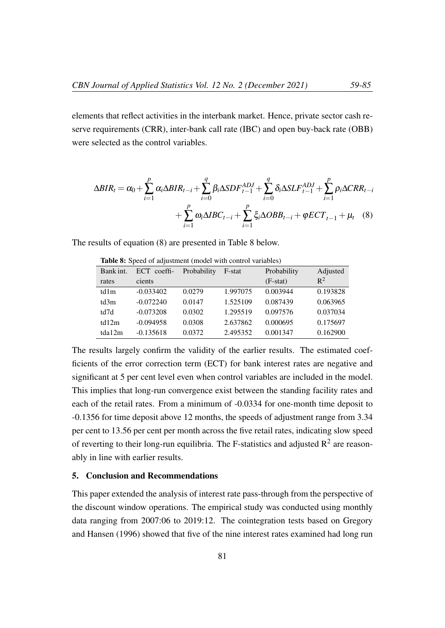elements that reflect activities in the interbank market. Hence, private sector cash reserve requirements (CRR), inter-bank call rate (IBC) and open buy-back rate (OBB) were selected as the control variables.

$$
\Delta BIR_{t} = \alpha_{0} + \sum_{i=1}^{p} \alpha_{i} \Delta BIR_{t-i} + \sum_{i=0}^{q} \beta_{i} \Delta SDF_{t-1}^{ADJ} + \sum_{i=0}^{q} \delta_{i} \Delta SLF_{t-1}^{ADJ} + \sum_{i=1}^{p} \rho_{i} \Delta CRR_{t-i} + \sum_{i=1}^{p} \alpha_{i} \Delta IBC_{t-i} + \sum_{i=1}^{p} \xi_{i} \Delta OBB_{t-i} + \varphi ECT_{t-1} + \mu_{t} \quad (8)
$$

The results of equation (8) are presented in Table 8 below.

| Bank int. | ECT coeffi- | Probability | F-stat   | Probability | Adjusted |
|-----------|-------------|-------------|----------|-------------|----------|
| rates     | cients      |             |          | $(F-stat)$  | $R^2$    |
| td1m      | $-0.033402$ | 0.0279      | 1.997075 | 0.003944    | 0.193828 |
| td3m      | $-0.072240$ | 0.0147      | 1.525109 | 0.087439    | 0.063965 |
| td7d      | $-0.073208$ | 0.0302      | 1.295519 | 0.097576    | 0.037034 |
| td12m     | $-0.094958$ | 0.0308      | 2.637862 | 0.000695    | 0.175697 |
| tda12m    | $-0.135618$ | 0.0372      | 2.495352 | 0.001347    | 0.162900 |
|           |             |             |          |             |          |

Table 8: Speed of adjustment (model with control variables)

The results largely confirm the validity of the earlier results. The estimated coefficients of the error correction term (ECT) for bank interest rates are negative and significant at 5 per cent level even when control variables are included in the model. This implies that long-run convergence exist between the standing facility rates and each of the retail rates. From a minimum of -0.0334 for one-month time deposit to -0.1356 for time deposit above 12 months, the speeds of adjustment range from 3.34 per cent to 13.56 per cent per month across the five retail rates, indicating slow speed of reverting to their long-run equilibria. The F-statistics and adjusted  $\mathbb{R}^2$  are reasonably in line with earlier results.

#### 5. Conclusion and Recommendations

This paper extended the analysis of interest rate pass-through from the perspective of the discount window operations. The empirical study was conducted using monthly data ranging from 2007:06 to 2019:12. The cointegration tests based on Gregory and Hansen (1996) showed that five of the nine interest rates examined had long run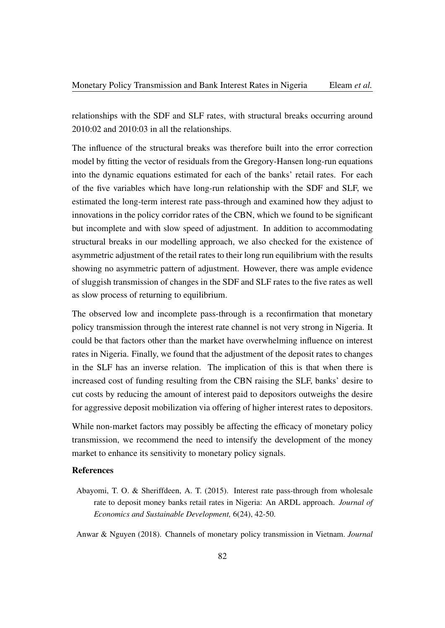relationships with the SDF and SLF rates, with structural breaks occurring around 2010:02 and 2010:03 in all the relationships.

The influence of the structural breaks was therefore built into the error correction model by fitting the vector of residuals from the Gregory-Hansen long-run equations into the dynamic equations estimated for each of the banks' retail rates. For each of the five variables which have long-run relationship with the SDF and SLF, we estimated the long-term interest rate pass-through and examined how they adjust to innovations in the policy corridor rates of the CBN, which we found to be significant but incomplete and with slow speed of adjustment. In addition to accommodating structural breaks in our modelling approach, we also checked for the existence of asymmetric adjustment of the retail rates to their long run equilibrium with the results showing no asymmetric pattern of adjustment. However, there was ample evidence of sluggish transmission of changes in the SDF and SLF rates to the five rates as well as slow process of returning to equilibrium.

The observed low and incomplete pass-through is a reconfirmation that monetary policy transmission through the interest rate channel is not very strong in Nigeria. It could be that factors other than the market have overwhelming influence on interest rates in Nigeria. Finally, we found that the adjustment of the deposit rates to changes in the SLF has an inverse relation. The implication of this is that when there is increased cost of funding resulting from the CBN raising the SLF, banks' desire to cut costs by reducing the amount of interest paid to depositors outweighs the desire for aggressive deposit mobilization via offering of higher interest rates to depositors.

While non-market factors may possibly be affecting the efficacy of monetary policy transmission, we recommend the need to intensify the development of the money market to enhance its sensitivity to monetary policy signals.

# References

Abayomi, T. O. & Sheriffdeen, A. T. (2015). Interest rate pass-through from wholesale rate to deposit money banks retail rates in Nigeria: An ARDL approach. *Journal of Economics and Sustainable Development,* 6(24), 42-50.

Anwar & Nguyen (2018). Channels of monetary policy transmission in Vietnam. *Journal*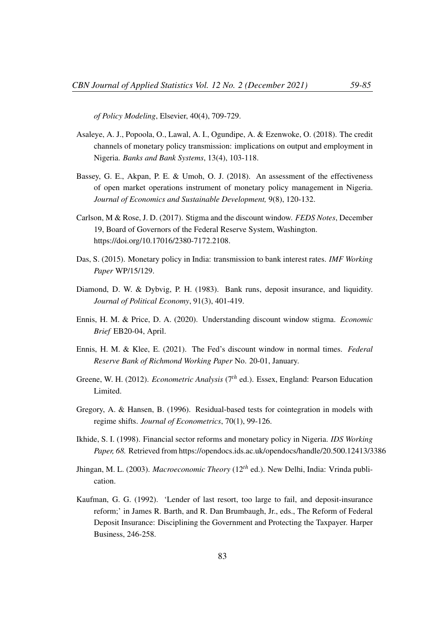*of Policy Modeling*, Elsevier, 40(4), 709-729.

- Asaleye, A. J., Popoola, O., Lawal, A. I., Ogundipe, A. & Ezenwoke, O. (2018). The credit channels of monetary policy transmission: implications on output and employment in Nigeria. *Banks and Bank Systems*, 13(4), 103-118.
- Bassey, G. E., Akpan, P. E. & Umoh, O. J. (2018). An assessment of the effectiveness of open market operations instrument of monetary policy management in Nigeria. *Journal of Economics and Sustainable Development,* 9(8), 120-132.
- Carlson, M & Rose, J. D. (2017). Stigma and the discount window. *FEDS Notes*, December 19, Board of Governors of the Federal Reserve System, Washington. https://doi.org/10.17016/2380-7172.2108.
- Das, S. (2015). Monetary policy in India: transmission to bank interest rates. *IMF Working Paper* WP/15/129.
- Diamond, D. W. & Dybvig, P. H. (1983). Bank runs, deposit insurance, and liquidity. *Journal of Political Economy*, 91(3), 401-419.
- Ennis, H. M. & Price, D. A. (2020). Understanding discount window stigma. *Economic Brief* EB20-04, April.
- Ennis, H. M. & Klee, E. (2021). The Fed's discount window in normal times. *Federal Reserve Bank of Richmond Working Paper* No. 20-01, January.
- Greene, W. H. (2012). *Econometric Analysis* (7*th* ed.). Essex, England: Pearson Education Limited.
- Gregory, A. & Hansen, B. (1996). Residual-based tests for cointegration in models with regime shifts. *Journal of Econometrics*, 70(1), 99-126.
- Ikhide, S. I. (1998). Financial sector reforms and monetary policy in Nigeria. *IDS Working Paper, 68.* Retrieved from https://opendocs.ids.ac.uk/opendocs/handle/20.500.12413/3386
- Jhingan, M. L. (2003). *Macroeconomic Theory* (12*th* ed.). New Delhi, India: Vrinda publication.
- Kaufman, G. G. (1992). 'Lender of last resort, too large to fail, and deposit-insurance reform;' in James R. Barth, and R. Dan Brumbaugh, Jr., eds., The Reform of Federal Deposit Insurance: Disciplining the Government and Protecting the Taxpayer. Harper Business, 246-258.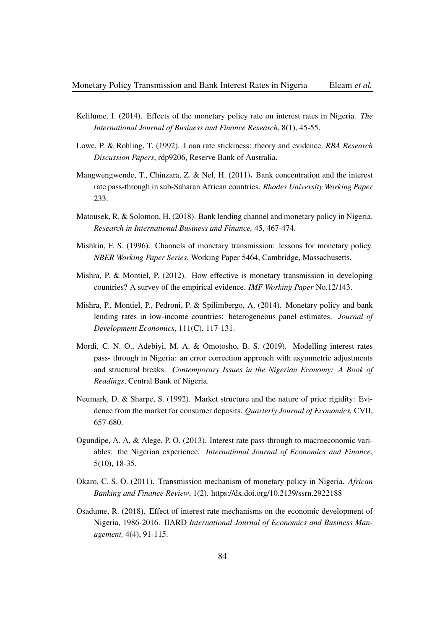- Kelilume, I. (2014). Effects of the monetary policy rate on interest rates in Nigeria. *The International Journal of Business and Finance Research*, 8(1), 45-55.
- Lowe, P. & Rohling, T. (1992). Loan rate stickiness: theory and evidence. *RBA Research Discussion Papers*, rdp9206, Reserve Bank of Australia.
- Mangwengwende, T., Chinzara, Z. & Nel, H. (2011). Bank concentration and the interest rate pass-through in sub-Saharan African countries. *Rhodes University Working Paper* 233.
- Matousek, R. & Solomon, H. (2018). Bank lending channel and monetary policy in Nigeria. *Research in International Business and Finance,* 45, 467-474.
- Mishkin, F. S. (1996). Channels of monetary transmission: lessons for monetary policy. *NBER Working Paper Series*, Working Paper 5464, Cambridge, Massachusetts.
- Mishra, P. & Montiel, P. (2012). How effective is monetary transmission in developing countries? A survey of the empirical evidence. *IMF Working Paper* No.12/143.
- Mishra, P., Montiel, P., Pedroni, P. & Spilimbergo, A. (2014). Monetary policy and bank lending rates in low-income countries: heterogeneous panel estimates. *Journal of Development Economics*, 111(C), 117-131.
- Mordi, C. N. O., Adebiyi, M. A. & Omotosho, B. S. (2019). Modelling interest rates pass- through in Nigeria: an error correction approach with asymmetric adjustments and structural breaks. *Contemporary Issues in the Nigerian Economy: A Book of Readings*, Central Bank of Nigeria.
- Neumark, D. & Sharpe, S. (1992). Market structure and the nature of price rigidity: Evidence from the market for consumer deposits. *Quarterly Journal of Economics,* CVII, 657-680.
- Ogundipe, A. A, & Alege, P. O. (2013). Interest rate pass-through to macroeconomic variables: the Nigerian experience. *International Journal of Economics and Finance*, 5(10), 18-35.
- Okaro, C. S. O. (2011). Transmission mechanism of monetary policy in Nigeria. *African Banking and Finance Review*, 1(2). https://dx.doi.org/10.2139/ssrn.2922188
- Osadume, R. (2018). Effect of interest rate mechanisms on the economic development of Nigeria, 1986-2016. IIARD *International Journal of Economics and Business Management,* 4(4), 91-115.